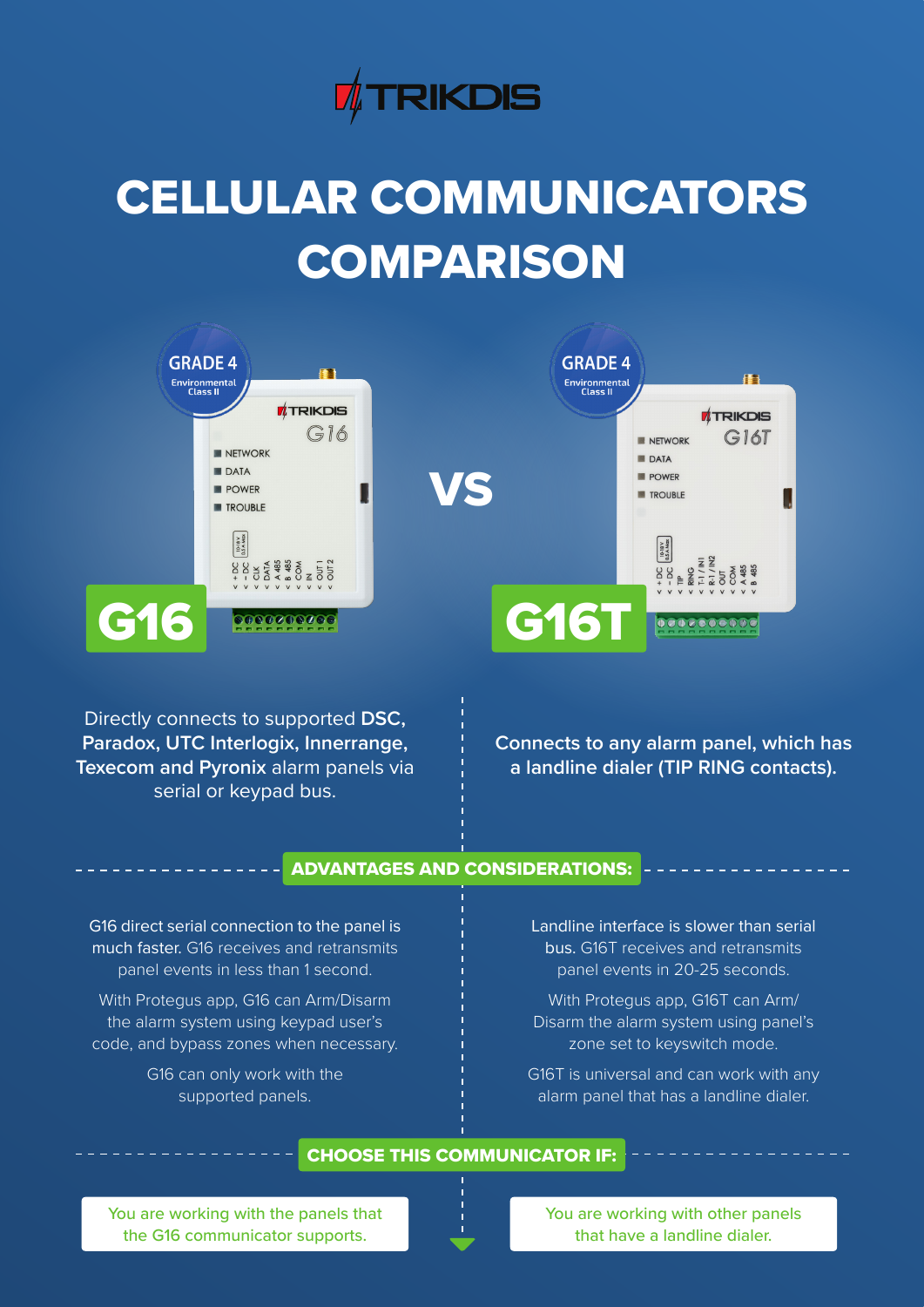

# CELLULAR COMMUNICATORS **COMPARISON**



Directly connects to supported **DSC, Paradox, UTC Interlogix, Innerrange, Texecom and Pyronix** alarm panels via serial or keypad bus.

**Connects to any alarm panel, which has a landline dialer (TIP RING contacts).**

# ADVANTAGES AND CONSIDERATIONS:

G16 direct serial connection to the panel is much faster. G16 receives and retransmits panel events in less than 1 second.

With Protegus app, G16 can Arm/Disarm the alarm system using keypad user's code, and bypass zones when necessary.

> G16 can only work with the supported panels.

Landline interface is slower than serial bus. G16T receives and retransmits panel events in 20-25 seconds.

With Protegus app, G16T can Arm/ Disarm the alarm system using panel's zone set to keyswitch mode.

G16T is universal and can work with any alarm panel that has a landline dialer.

# CHOOSE THIS COMMUNICATOR IF:

You are working with the panels that the G16 communicator supports.



You are working with other panels that have a landline dialer.